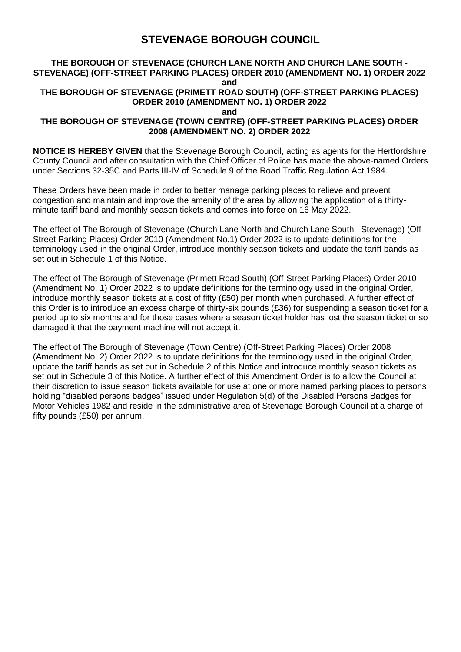# **STEVENAGE BOROUGH COUNCIL**

#### **THE BOROUGH OF STEVENAGE (CHURCH LANE NORTH AND CHURCH LANE SOUTH - STEVENAGE) (OFF-STREET PARKING PLACES) ORDER 2010 (AMENDMENT NO. 1) ORDER 2022 and THE BOROUGH OF STEVENAGE (PRIMETT ROAD SOUTH) (OFF-STREET PARKING PLACES) ORDER 2010 (AMENDMENT NO. 1) ORDER 2022 and THE BOROUGH OF STEVENAGE (TOWN CENTRE) (OFF-STREET PARKING PLACES) ORDER 2008 (AMENDMENT NO. 2) ORDER 2022**

**NOTICE IS HEREBY GIVEN** that the Stevenage Borough Council, acting as agents for the Hertfordshire County Council and after consultation with the Chief Officer of Police has made the above-named Orders under Sections 32-35C and Parts III-IV of Schedule 9 of the Road Traffic Regulation Act 1984.

These Orders have been made in order to better manage parking places to relieve and prevent congestion and maintain and improve the amenity of the area by allowing the application of a thirtyminute tariff band and monthly season tickets and comes into force on 16 May 2022.

The effect of The Borough of Stevenage (Church Lane North and Church Lane South –Stevenage) (Off-Street Parking Places) Order 2010 (Amendment No.1) Order 2022 is to update definitions for the terminology used in the original Order, introduce monthly season tickets and update the tariff bands as set out in Schedule 1 of this Notice.

The effect of The Borough of Stevenage (Primett Road South) (Off-Street Parking Places) Order 2010 (Amendment No. 1) Order 2022 is to update definitions for the terminology used in the original Order, introduce monthly season tickets at a cost of fifty (£50) per month when purchased. A further effect of this Order is to introduce an excess charge of thirty-six pounds (£36) for suspending a season ticket for a period up to six months and for those cases where a season ticket holder has lost the season ticket or so damaged it that the payment machine will not accept it.

The effect of The Borough of Stevenage (Town Centre) (Off-Street Parking Places) Order 2008 (Amendment No. 2) Order 2022 is to update definitions for the terminology used in the original Order, update the tariff bands as set out in Schedule 2 of this Notice and introduce monthly season tickets as set out in Schedule 3 of this Notice. A further effect of this Amendment Order is to allow the Council at their discretion to issue season tickets available for use at one or more named parking places to persons holding "disabled persons badges" issued under Regulation 5(d) of the Disabled Persons Badges for Motor Vehicles 1982 and reside in the administrative area of Stevenage Borough Council at a charge of fifty pounds (£50) per annum.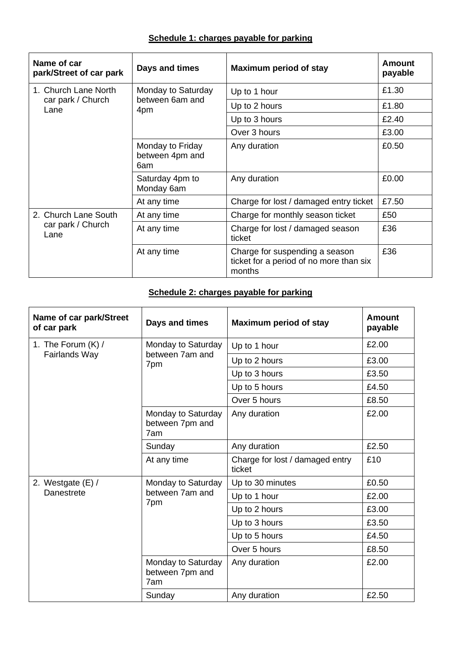## **Schedule 1: charges payable for parking**

| Name of car<br>park/Street of car park            | Days and times                               | <b>Maximum period of stay</b>                                                       | Amount<br>payable |
|---------------------------------------------------|----------------------------------------------|-------------------------------------------------------------------------------------|-------------------|
| 1. Church Lane North<br>car park / Church<br>Lane | Monday to Saturday<br>between 6am and<br>4pm | Up to 1 hour                                                                        | £1.30             |
|                                                   |                                              | Up to 2 hours                                                                       | £1.80             |
|                                                   |                                              | Up to 3 hours                                                                       | £2.40             |
|                                                   |                                              | Over 3 hours                                                                        | £3.00             |
|                                                   | Monday to Friday<br>between 4pm and<br>6am   | Any duration                                                                        | £0.50             |
|                                                   | Saturday 4pm to<br>Monday 6am                | Any duration                                                                        | £0.00             |
|                                                   | At any time                                  | Charge for lost / damaged entry ticket                                              | £7.50             |
| 2. Church Lane South<br>car park / Church<br>Lane | At any time                                  | Charge for monthly season ticket                                                    | £50               |
|                                                   | At any time                                  | Charge for lost / damaged season<br>ticket                                          | £36               |
|                                                   | At any time                                  | Charge for suspending a season<br>ticket for a period of no more than six<br>months | £36               |

## **Schedule 2: charges payable for parking**

| Name of car park/Street<br>of car park   | Days and times                               | <b>Maximum period of stay</b>             | <b>Amount</b><br>payable |
|------------------------------------------|----------------------------------------------|-------------------------------------------|--------------------------|
| 1. The Forum $(K)$ /<br>Fairlands Way    | Monday to Saturday<br>between 7am and<br>7pm | Up to 1 hour                              | £2.00                    |
|                                          |                                              | Up to 2 hours                             | £3.00                    |
|                                          |                                              | Up to 3 hours                             | £3.50                    |
|                                          |                                              | Up to 5 hours                             | £4.50                    |
|                                          |                                              | Over 5 hours                              | £8.50                    |
|                                          | Monday to Saturday<br>between 7pm and<br>7am | Any duration                              | £2.00                    |
|                                          | Sunday                                       | Any duration                              | £2.50                    |
|                                          | At any time                                  | Charge for lost / damaged entry<br>ticket | £10                      |
| 2. Westgate $(E) /$<br><b>Danestrete</b> | Monday to Saturday<br>between 7am and<br>7pm | Up to 30 minutes                          | £0.50                    |
|                                          |                                              | Up to 1 hour                              | £2.00                    |
|                                          |                                              | Up to 2 hours                             | £3.00                    |
|                                          |                                              | Up to 3 hours                             | £3.50                    |
|                                          |                                              | Up to 5 hours                             | £4.50                    |
|                                          |                                              | Over 5 hours                              | £8.50                    |
|                                          | Monday to Saturday<br>between 7pm and<br>7am | Any duration                              | £2.00                    |
|                                          | Sunday                                       | Any duration                              | £2.50                    |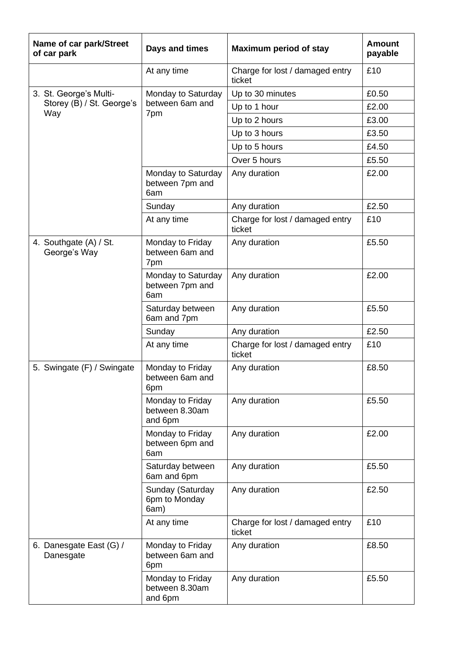| Name of car park/Street<br>of car park | Days and times                                | <b>Maximum period of stay</b>             | <b>Amount</b><br>payable |
|----------------------------------------|-----------------------------------------------|-------------------------------------------|--------------------------|
|                                        | At any time                                   | Charge for lost / damaged entry<br>ticket | £10                      |
| 3. St. George's Multi-                 | Monday to Saturday<br>between 6am and<br>7pm  | Up to 30 minutes                          | £0.50                    |
| Storey (B) / St. George's              |                                               | Up to 1 hour                              | £2.00                    |
| Way                                    |                                               | Up to 2 hours                             | £3.00                    |
|                                        |                                               | Up to 3 hours                             | £3.50                    |
|                                        |                                               | Up to 5 hours                             | £4.50                    |
|                                        |                                               | Over 5 hours                              | £5.50                    |
|                                        | Monday to Saturday<br>between 7pm and<br>6am  | Any duration                              | £2.00                    |
|                                        | Sunday                                        | Any duration                              | £2.50                    |
|                                        | At any time                                   | Charge for lost / damaged entry<br>ticket | £10                      |
| 4. Southgate (A) / St.<br>George's Way | Monday to Friday<br>between 6am and<br>7pm    | Any duration                              | £5.50                    |
|                                        | Monday to Saturday<br>between 7pm and<br>6am  | Any duration                              | £2.00                    |
|                                        | Saturday between<br>6am and 7pm               | Any duration                              | £5.50                    |
|                                        | Sunday                                        | Any duration                              | £2.50                    |
|                                        | At any time                                   | Charge for lost / damaged entry<br>ticket | £10                      |
| 5. Swingate (F) / Swingate             | Monday to Friday<br>between 6am and<br>6pm    | Any duration                              | £8.50                    |
|                                        | Monday to Friday<br>between 8.30am<br>and 6pm | Any duration                              | £5.50                    |
|                                        | Monday to Friday<br>between 6pm and<br>6am    | Any duration                              | £2.00                    |
|                                        | Saturday between<br>6am and 6pm               | Any duration                              | £5.50                    |
|                                        | Sunday (Saturday<br>6pm to Monday<br>6am)     | Any duration                              | £2.50                    |
|                                        | At any time                                   | Charge for lost / damaged entry<br>ticket | £10                      |
| 6. Danesgate East (G) /<br>Danesgate   | Monday to Friday<br>between 6am and<br>6pm    | Any duration                              | £8.50                    |
|                                        | Monday to Friday<br>between 8.30am<br>and 6pm | Any duration                              | £5.50                    |